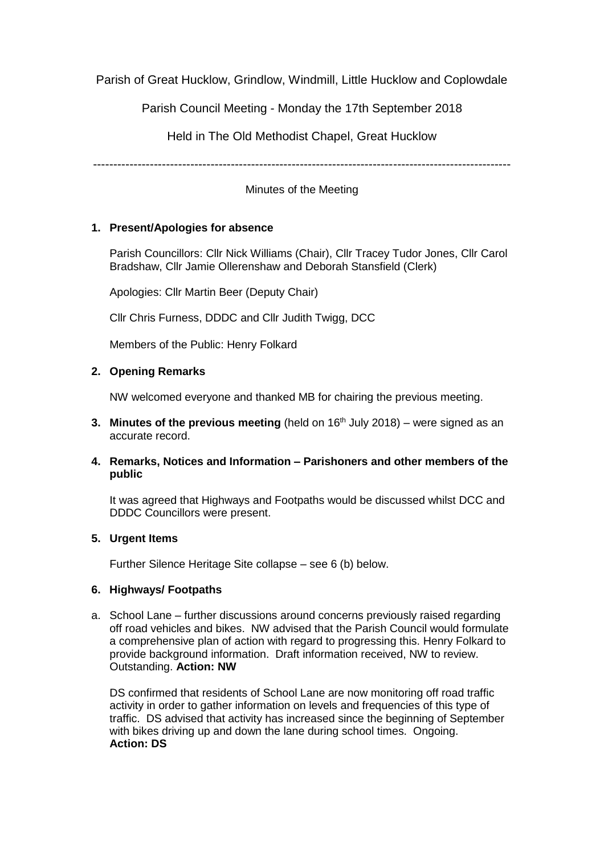Parish of Great Hucklow, Grindlow, Windmill, Little Hucklow and Coplowdale

Parish Council Meeting - Monday the 17th September 2018

Held in The Old Methodist Chapel, Great Hucklow

-------------------------------------------------------------------------------------------------------

Minutes of the Meeting

# **1. Present/Apologies for absence**

Parish Councillors: Cllr Nick Williams (Chair), Cllr Tracey Tudor Jones, Cllr Carol Bradshaw, Cllr Jamie Ollerenshaw and Deborah Stansfield (Clerk)

Apologies: Cllr Martin Beer (Deputy Chair)

Cllr Chris Furness, DDDC and Cllr Judith Twigg, DCC

Members of the Public: Henry Folkard

## **2. Opening Remarks**

NW welcomed everyone and thanked MB for chairing the previous meeting.

**3. Minutes of the previous meeting** (held on 16<sup>th</sup> July 2018) – were signed as an accurate record.

### **4. Remarks, Notices and Information – Parishoners and other members of the public**

It was agreed that Highways and Footpaths would be discussed whilst DCC and DDDC Councillors were present.

### **5. Urgent Items**

Further Silence Heritage Site collapse – see 6 (b) below.

### **6. Highways/ Footpaths**

a. School Lane – further discussions around concerns previously raised regarding off road vehicles and bikes. NW advised that the Parish Council would formulate a comprehensive plan of action with regard to progressing this. Henry Folkard to provide background information. Draft information received, NW to review. Outstanding. **Action: NW**

DS confirmed that residents of School Lane are now monitoring off road traffic activity in order to gather information on levels and frequencies of this type of traffic. DS advised that activity has increased since the beginning of September with bikes driving up and down the lane during school times. Ongoing. **Action: DS**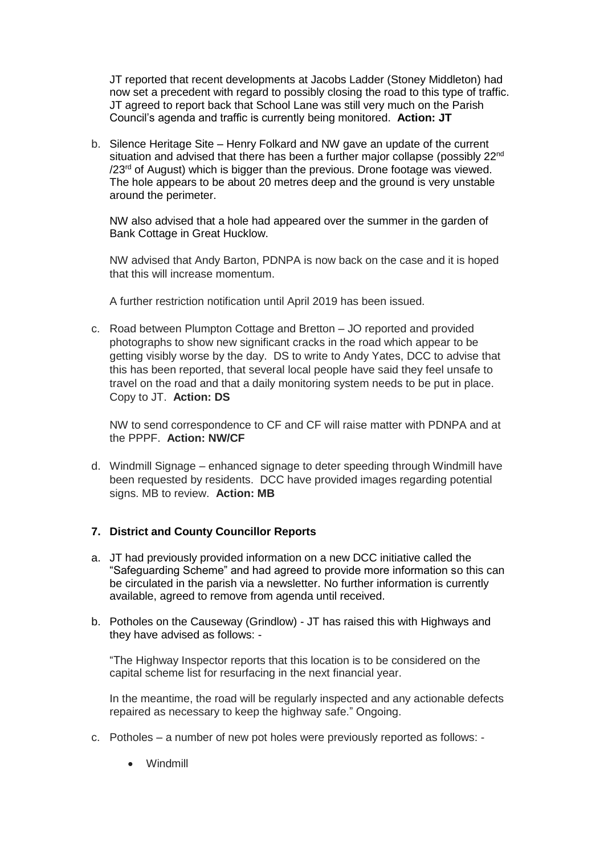JT reported that recent developments at Jacobs Ladder (Stoney Middleton) had now set a precedent with regard to possibly closing the road to this type of traffic. JT agreed to report back that School Lane was still very much on the Parish Council's agenda and traffic is currently being monitored. **Action: JT**

b. Silence Heritage Site – Henry Folkard and NW gave an update of the current situation and advised that there has been a further major collapse (possibly 22<sup>nd</sup> /23<sup>rd</sup> of August) which is bigger than the previous. Drone footage was viewed. The hole appears to be about 20 metres deep and the ground is very unstable around the perimeter.

NW also advised that a hole had appeared over the summer in the garden of Bank Cottage in Great Hucklow.

NW advised that Andy Barton, PDNPA is now back on the case and it is hoped that this will increase momentum.

A further restriction notification until April 2019 has been issued.

c. Road between Plumpton Cottage and Bretton – JO reported and provided photographs to show new significant cracks in the road which appear to be getting visibly worse by the day. DS to write to Andy Yates, DCC to advise that this has been reported, that several local people have said they feel unsafe to travel on the road and that a daily monitoring system needs to be put in place. Copy to JT. **Action: DS**

NW to send correspondence to CF and CF will raise matter with PDNPA and at the PPPF. **Action: NW/CF**

d. Windmill Signage – enhanced signage to deter speeding through Windmill have been requested by residents. DCC have provided images regarding potential signs. MB to review. **Action: MB** 

### **7. District and County Councillor Reports**

- a. JT had previously provided information on a new DCC initiative called the "Safeguarding Scheme" and had agreed to provide more information so this can be circulated in the parish via a newsletter. No further information is currently available, agreed to remove from agenda until received.
- b. Potholes on the Causeway (Grindlow) JT has raised this with Highways and they have advised as follows: -

"The Highway Inspector reports that this location is to be considered on the capital scheme list for resurfacing in the next financial year.

In the meantime, the road will be regularly inspected and any actionable defects repaired as necessary to keep the highway safe." Ongoing.

- c. Potholes a number of new pot holes were previously reported as follows:
	- Windmill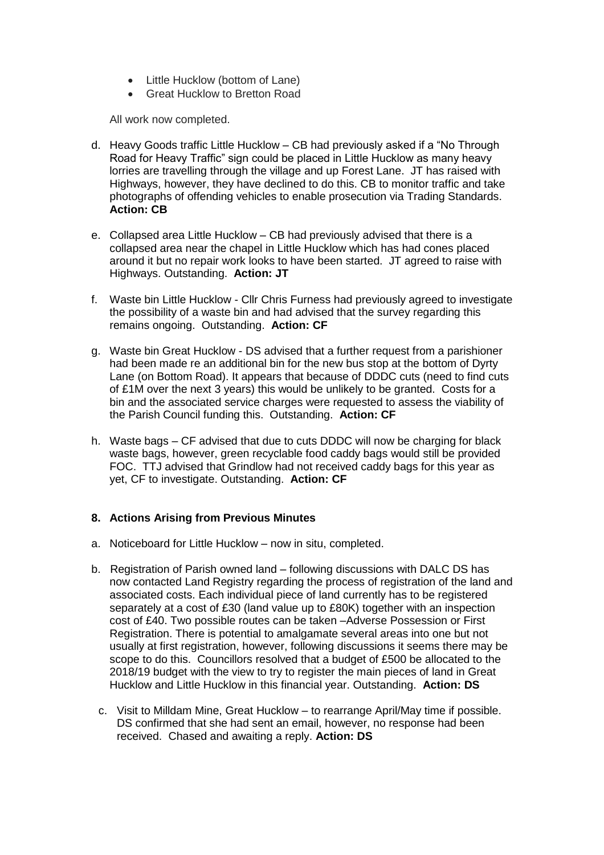- Little Hucklow (bottom of Lane)
- Great Hucklow to Bretton Road

All work now completed.

- d. Heavy Goods traffic Little Hucklow CB had previously asked if a "No Through Road for Heavy Traffic" sign could be placed in Little Hucklow as many heavy lorries are travelling through the village and up Forest Lane. JT has raised with Highways, however, they have declined to do this. CB to monitor traffic and take photographs of offending vehicles to enable prosecution via Trading Standards. **Action: CB**
- e. Collapsed area Little Hucklow CB had previously advised that there is a collapsed area near the chapel in Little Hucklow which has had cones placed around it but no repair work looks to have been started. JT agreed to raise with Highways. Outstanding. **Action: JT**
- f. Waste bin Little Hucklow Cllr Chris Furness had previously agreed to investigate the possibility of a waste bin and had advised that the survey regarding this remains ongoing. Outstanding. **Action: CF**
- g. Waste bin Great Hucklow DS advised that a further request from a parishioner had been made re an additional bin for the new bus stop at the bottom of Dyrty Lane (on Bottom Road). It appears that because of DDDC cuts (need to find cuts of £1M over the next 3 years) this would be unlikely to be granted. Costs for a bin and the associated service charges were requested to assess the viability of the Parish Council funding this. Outstanding. **Action: CF**
- h. Waste bags CF advised that due to cuts DDDC will now be charging for black waste bags, however, green recyclable food caddy bags would still be provided FOC. TTJ advised that Grindlow had not received caddy bags for this year as yet, CF to investigate. Outstanding. **Action: CF**

### **8. Actions Arising from Previous Minutes**

- a. Noticeboard for Little Hucklow now in situ, completed.
- b. Registration of Parish owned land following discussions with DALC DS has now contacted Land Registry regarding the process of registration of the land and associated costs. Each individual piece of land currently has to be registered separately at a cost of £30 (land value up to £80K) together with an inspection cost of £40. Two possible routes can be taken –Adverse Possession or First Registration. There is potential to amalgamate several areas into one but not usually at first registration, however, following discussions it seems there may be scope to do this. Councillors resolved that a budget of £500 be allocated to the 2018/19 budget with the view to try to register the main pieces of land in Great Hucklow and Little Hucklow in this financial year. Outstanding. **Action: DS**
	- c. Visit to Milldam Mine, Great Hucklow to rearrange April/May time if possible. DS confirmed that she had sent an email, however, no response had been received. Chased and awaiting a reply. **Action: DS**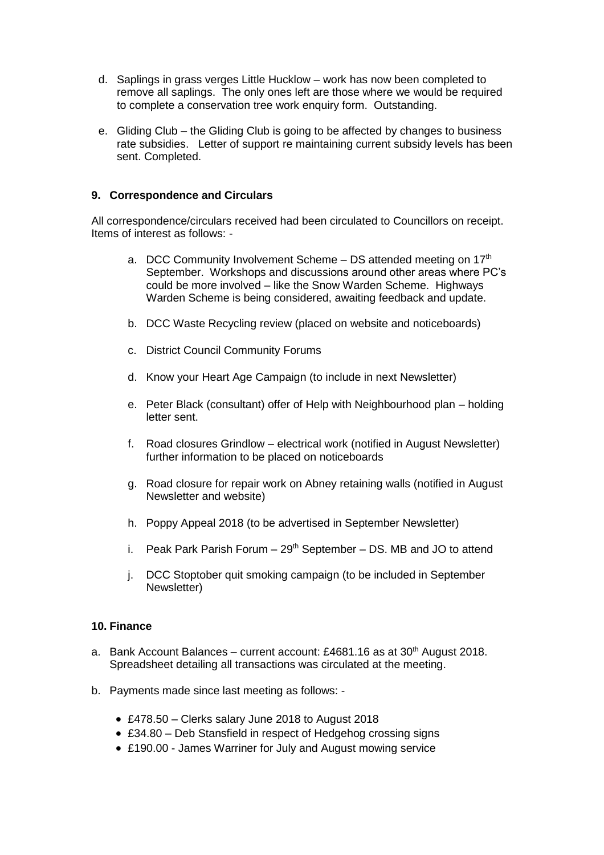- d. Saplings in grass verges Little Hucklow work has now been completed to remove all saplings. The only ones left are those where we would be required to complete a conservation tree work enquiry form. Outstanding.
- e. Gliding Club the Gliding Club is going to be affected by changes to business rate subsidies. Letter of support re maintaining current subsidy levels has been sent. Completed.

### **9. Correspondence and Circulars**

All correspondence/circulars received had been circulated to Councillors on receipt. Items of interest as follows: -

- a. DCC Community Involvement Scheme  $-$  DS attended meeting on 17<sup>th</sup> September. Workshops and discussions around other areas where PC's could be more involved – like the Snow Warden Scheme. Highways Warden Scheme is being considered, awaiting feedback and update.
- b. DCC Waste Recycling review (placed on website and noticeboards)
- c. District Council Community Forums
- d. Know your Heart Age Campaign (to include in next Newsletter)
- e. Peter Black (consultant) offer of Help with Neighbourhood plan holding letter sent.
- f. Road closures Grindlow electrical work (notified in August Newsletter) further information to be placed on noticeboards
- g. Road closure for repair work on Abney retaining walls (notified in August Newsletter and website)
- h. Poppy Appeal 2018 (to be advertised in September Newsletter)
- i. Peak Park Parish Forum  $-29<sup>th</sup>$  September  $-$  DS. MB and JO to attend
- j. DCC Stoptober quit smoking campaign (to be included in September Newsletter)

#### **10. Finance**

- a. Bank Account Balances current account: £4681.16 as at  $30<sup>th</sup>$  August 2018. Spreadsheet detailing all transactions was circulated at the meeting.
- b. Payments made since last meeting as follows:
	- £478.50 Clerks salary June 2018 to August 2018
	- £34.80 Deb Stansfield in respect of Hedgehog crossing signs
	- £190.00 James Warriner for July and August mowing service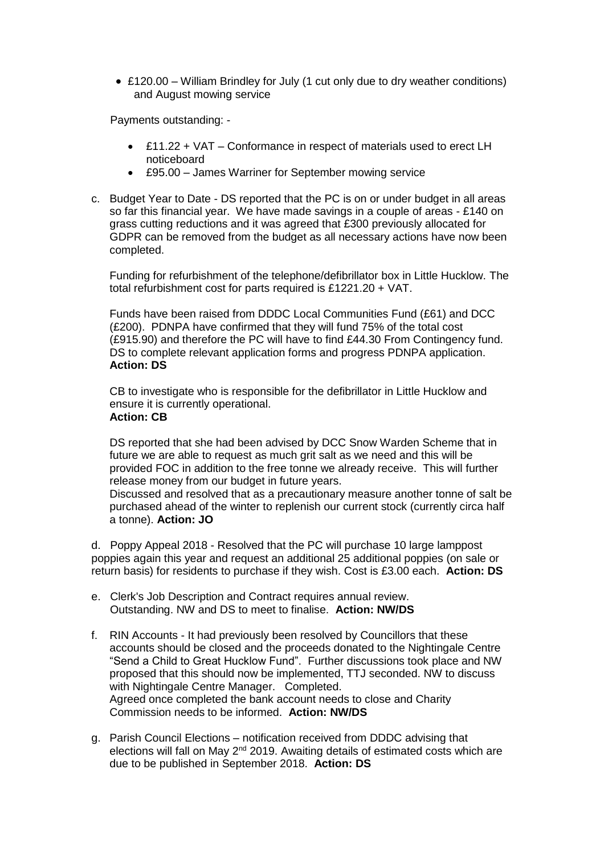• £120.00 – William Brindley for July (1 cut only due to dry weather conditions) and August mowing service

Payments outstanding: -

- £11.22 + VAT Conformance in respect of materials used to erect LH noticeboard
- £95.00 James Warriner for September mowing service
- c. Budget Year to Date DS reported that the PC is on or under budget in all areas so far this financial year. We have made savings in a couple of areas - £140 on grass cutting reductions and it was agreed that £300 previously allocated for GDPR can be removed from the budget as all necessary actions have now been completed.

Funding for refurbishment of the telephone/defibrillator box in Little Hucklow. The total refurbishment cost for parts required is £1221.20 + VAT.

Funds have been raised from DDDC Local Communities Fund (£61) and DCC (£200). PDNPA have confirmed that they will fund 75% of the total cost (£915.90) and therefore the PC will have to find £44.30 From Contingency fund. DS to complete relevant application forms and progress PDNPA application. **Action: DS**

CB to investigate who is responsible for the defibrillator in Little Hucklow and ensure it is currently operational. **Action: CB**

DS reported that she had been advised by DCC Snow Warden Scheme that in future we are able to request as much grit salt as we need and this will be provided FOC in addition to the free tonne we already receive. This will further release money from our budget in future years.

Discussed and resolved that as a precautionary measure another tonne of salt be purchased ahead of the winter to replenish our current stock (currently circa half a tonne). **Action: JO**

d. Poppy Appeal 2018 - Resolved that the PC will purchase 10 large lamppost poppies again this year and request an additional 25 additional poppies (on sale or return basis) for residents to purchase if they wish. Cost is £3.00 each. **Action: DS**

- e. Clerk's Job Description and Contract requires annual review. Outstanding. NW and DS to meet to finalise. **Action: NW/DS**
- f. RIN Accounts It had previously been resolved by Councillors that these accounts should be closed and the proceeds donated to the Nightingale Centre "Send a Child to Great Hucklow Fund". Further discussions took place and NW proposed that this should now be implemented, TTJ seconded. NW to discuss with Nightingale Centre Manager. Completed. Agreed once completed the bank account needs to close and Charity Commission needs to be informed. **Action: NW/DS**
- g. Parish Council Elections notification received from DDDC advising that elections will fall on May  $2^{nd}$  2019. Awaiting details of estimated costs which are due to be published in September 2018. **Action: DS**